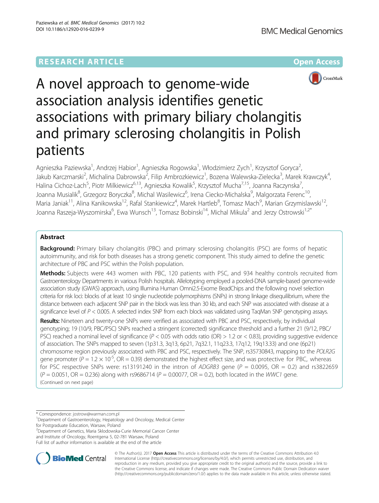# **RESEARCH ARTICLE Example 2018 12:00 Department of the CONNECTION CONNECTION CONNECTION CONNECTION**



# A novel approach to genome-wide association analysis identifies genetic associations with primary biliary cholangitis and primary sclerosing cholangitis in Polish patients

Agnieszka Paziewska<sup>1</sup>, Andrzej Habior<sup>1</sup>, Agnieszka Rogowska<sup>1</sup>, Włodzimierz Zych<sup>1</sup>, Krzysztof Goryca<sup>2</sup> .<br>, Jakub Karczmarski<sup>2</sup>, Michalina Dabrowska<sup>2</sup>, Filip Ambrozkiewicz<sup>1</sup>, Bozena Walewska-Zielecka<sup>3</sup>, Marek Krawczyk<sup>4</sup> , Halina Cichoz-Lach<sup>5</sup>, Piotr Milkiewicz<sup>6,13</sup>, Agnieszka Kowalik<sup>5</sup>, Krzysztof Mucha<sup>7,15</sup>, Joanna Raczynska<sup>7</sup> , Joanna Musialik<sup>8</sup>, Grzegorz Boryczka<sup>8</sup>, Michal Wasilewicz<sup>6</sup>, Irena Ciecko-Michalska<sup>9</sup>, Malgorzata Ferenc<sup>10</sup>, Maria Janiak<sup>11</sup>, Alina Kanikowska<sup>12</sup>, Rafal Stankiewicz<sup>4</sup>, Marek Hartleb<sup>8</sup>, Tomasz Mach<sup>9</sup>, Marian Grzymislawski<sup>12</sup>, Joanna Raszeja-Wyszomirska<sup>6</sup>, Ewa Wunsch<sup>13</sup>, Tomasz Bobinski<sup>14</sup>, Michal Mikula<sup>2</sup> and Jerzy Ostrowski<sup>1,2\*</sup>

# Abstract

**Background:** Primary biliary cholangitis (PBC) and primary sclerosing cholangitis (PSC) are forms of hepatic autoimmunity, and risk for both diseases has a strong genetic component. This study aimed to define the genetic architecture of PBC and PSC within the Polish population.

Methods: Subjects were 443 women with PBC, 120 patients with PSC, and 934 healthy controls recruited from Gastroenterology Departments in various Polish hospitals. Allelotyping employed a pooled-DNA sample-based genome-wide association study (GWAS) approach, using Illumina Human Omni2.5-Exome BeadChips and the following novel selection criteria for risk loci: blocks of at least 10 single nucleotide polymorphisms (SNPs) in strong linkage disequilibrium, where the distance between each adjacent SNP pair in the block was less than 30 kb, and each SNP was associated with disease at a significance level of  $P < 0.005$ . A selected index SNP from each block was validated using TaqMan SNP genotyping assays.

Results: Nineteen and twenty-one SNPs were verified as associated with PBC and PSC, respectively, by individual genotyping; 19 (10/9, PBC/PSC) SNPs reached a stringent (corrected) significance threshold and a further 21 (9/12, PBC/ PSC) reached a nominal level of significance ( $P < 0.05$  with odds ratio (OR)  $> 1.2$  or  $< 0.83$ ), providing suggestive evidence of association. The SNPs mapped to seven (1p31.3, 3q13, 6p21, 7q32.1, 11q23.3, 17q12, 19q13.33) and one (6p21) chromosome region previously associated with PBC and PSC, respectively. The SNP, rs35730843, mapping to the POLR2G gene promoter ( $P = 1.2 \times 10^{-5}$ , OR = 0.39) demonstrated the highest effect size, and was protective for PBC, whereas for PSC respective SNPs were: rs13191240 in the intron of ADGRB3 gene ( $P = 0.0095$ , OR = 0.2) and rs3822659  $(P = 0.0051, \text{OR} = 0.236)$  along with rs9686714 ( $P = 0.00077$ ,  $\text{OR} = 0.2$ ), both located in the WWC1 gene. (Continued on next page)

\* Correspondence: [jostrow@warman.com.pl](mailto:jostrow@warman.com.pl) <sup>1</sup>

2 Department of Genetics, Maria Sklodowska-Curie Memorial Cancer Center and Institute of Oncology, Roentgena 5, 02-781 Warsaw, Poland

Full list of author information is available at the end of the article



© The Author(s). 2017 **Open Access** This article is distributed under the terms of the Creative Commons Attribution 4.0 International License [\(http://creativecommons.org/licenses/by/4.0/](http://creativecommons.org/licenses/by/4.0/)), which permits unrestricted use, distribution, and reproduction in any medium, provided you give appropriate credit to the original author(s) and the source, provide a link to the Creative Commons license, and indicate if changes were made. The Creative Commons Public Domain Dedication waiver [\(http://creativecommons.org/publicdomain/zero/1.0/](http://creativecommons.org/publicdomain/zero/1.0/)) applies to the data made available in this article, unless otherwise stated.

<sup>&</sup>lt;sup>1</sup>Department of Gastroenterology, Hepatology and Oncology, Medical Center for Postgraduate Education, Warsaw, Poland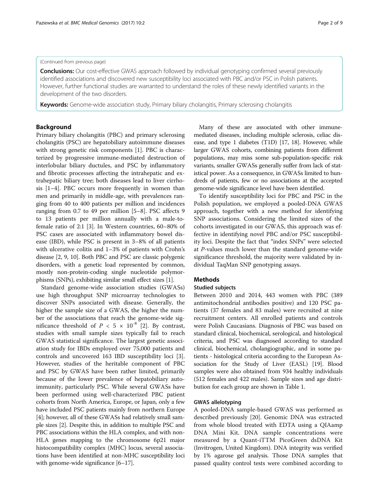# (Continued from previous page)

Conclusions: Our cost-effective GWAS approach followed by individual genotyping confirmed several previously identified associations and discovered new susceptibility loci associated with PBC and/or PSC in Polish patients. However, further functional studies are warranted to understand the roles of these newly identified variants in the development of the two disorders.

Keywords: Genome-wide association study, Primary biliary cholangitis, Primary sclerosing cholangitis

# Background

Primary biliary cholangitis (PBC) and primary sclerosing cholangitis (PSC) are hepatobiliary autoimmune diseases with strong genetic risk components [\[1](#page-7-0)]. PBC is characterized by progressive immune-mediated destruction of interlobular biliary ductules, and PSC by inflammatory and fibrotic processes affecting the intrahepatic and extrahepatic biliary tree; both diseases lead to liver cirrhosis [\[1](#page-7-0)–[4](#page-8-0)]. PBC occurs more frequently in women than men and primarily in middle-age, with prevalences ranging from 40 to 400 patients per million and incidences ranging from 0.7 to 49 per million [[5](#page-8-0)–[8\]](#page-8-0). PSC affects 9 to 13 patients per million annually with a male-tofemale ratio of 2:1 [\[3](#page-7-0)]. In Western countries, 60–80% of PSC cases are associated with inflammatory bowel disease (IBD), while PSC is present in 3–8% of all patients with ulcerative colitis and 1–3% of patients with Crohn's disease [[2,](#page-7-0) [9](#page-8-0), [10](#page-8-0)]. Both PBC and PSC are classic polygenic disorders, with a genetic load represented by common, mostly non-protein-coding single nucleotide polymorphisms (SNPs), exhibiting similar small effect sizes [\[1\]](#page-7-0).

Standard genome-wide association studies (GWASs) use high throughput SNP microarray technologies to discover SNPs associated with disease. Generally, the higher the sample size of a GWAS, the higher the number of the associations that reach the genome-wide significance threshold of  $P < 5 \times 10^{-8}$  [[2\]](#page-7-0). By contrast, studies with small sample sizes typically fail to reach GWAS statistical significance. The largest genetic association study for IBDs employed over 75,000 patients and controls and uncovered 163 IBD susceptibility loci [\[3](#page-7-0)]. However, studies of the heritable component of PBC and PSC by GWAS have been rather limited, primarily because of the lower prevalence of hepatobiliary autoimmunity, particularly PSC. While several GWASs have been performed using well-characterized PBC patient cohorts from North America, Europe, or Japan, only a few have included PSC patients mainly from northern Europe [[4\]](#page-8-0); however, all of these GWASs had relatively small sample sizes [\[2\]](#page-7-0). Despite this, in addition to multiple PSC and PBC associations within the HLA complex, and with non-HLA genes mapping to the chromosome 6p21 major histocompatibility complex (MHC) locus, several associations have been identified at non-MHC susceptibility loci with genome-wide significance [\[6](#page-8-0)–[17\]](#page-8-0).

Many of these are associated with other immunemediated diseases, including multiple sclerosis, celiac disease, and type 1 diabetes (T1D) [\[17](#page-8-0), [18\]](#page-8-0). However, while larger GWAS cohorts, combining patients from different populations, may miss some sub-population-specific risk variants, smaller GWASs generally suffer from lack of statistical power. As a consequence, in GWASs limited to hun-

genome-wide significance level have been identified. To identify susceptibility loci for PBC and PSC in the Polish population, we employed a pooled-DNA GWAS approach, together with a new method for identifying SNP associations. Considering the limited sizes of the cohorts investigated in our GWAS, this approach was effective in identifying novel PBC and/or PSC susceptibility loci. Despite the fact that "index SNPs" were selected at P-values much lower than the standard genome-wide significance threshold, the majority were validated by individual TaqMan SNP genotyping assays.

dreds of patients, few or no associations at the accepted

# Methods

# Studied subjects

Between 2010 and 2014, 443 women with PBC (389 antimitochondrial antibodies positive) and 120 PSC patients (37 females and 83 males) were recruited at nine recruitment centers. All enrolled patients and controls were Polish Caucasians. Diagnosis of PBC was based on standard clinical, biochemical, serological, and histological criteria, and PSC was diagnosed according to standard clinical, biochemical, cholangiographic, and in some patients - histological criteria according to the European Association for the Study of Liver (EASL) [[19](#page-8-0)]. Blood samples were also obtained from 934 healthy individuals (512 females and 422 males). Sample sizes and age distribution for each group are shown in Table [1.](#page-2-0)

# GWAS allelotyping

A pooled-DNA sample-based GWAS was performed as described previously [\[20\]](#page-8-0). Genomic DNA was extracted from whole blood treated with EDTA using a QIAamp DNA Mini Kit. DNA sample concentrations were measured by a Quant-iTTM PicoGreen dsDNA Kit (Invitrogen, United Kingdom). DNA integrity was verified by 1% agarose gel analysis. Those DNA samples that passed quality control tests were combined according to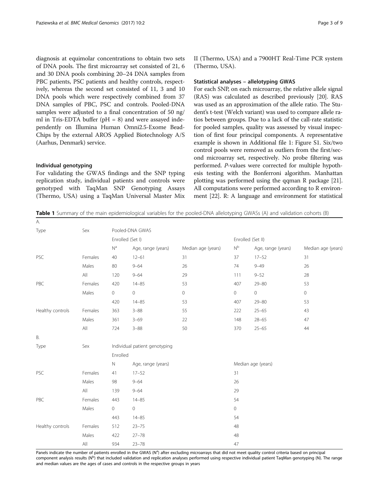<span id="page-2-0"></span>diagnosis at equimolar concentrations to obtain two sets of DNA pools. The first microarray set consisted of 21, 6 and 30 DNA pools combining 20–24 DNA samples from PBC patients, PSC patients and healthy controls, respectively, whereas the second set consisted of 11, 3 and 10 DNA pools which were respectively combined from 37 DNA samples of PBC, PSC and controls. Pooled-DNA samples were adjusted to a final concentration of 50 ng/ ml in Tris-EDTA buffer ( $pH = 8$ ) and were assayed independently on Illumina Human Omni2.5-Exome Bead-Chips by the external AROS Applied Biotechnology A/S (Aarhus, Denmark) service.

# Individual genotyping

For validating the GWAS findings and the SNP typing replication study, individual patients and controls were genotyped with TaqMan SNP Genotyping Assays (Thermo, USA) using a TaqMan Universal Master Mix II (Thermo, USA) and a 7900HT Real-Time PCR system (Thermo, USA).

### Statistical analyses – allelotyping GWAS

For each SNP, on each microarray, the relative allele signal (RAS) was calculated as described previously [\[20\]](#page-8-0). RAS was used as an approximation of the allele ratio. The Student's t-test (Welch variant) was used to compare allele ratios between groups. Due to a lack of the call-rate statistic for pooled samples, quality was assessed by visual inspection of first four principal components. A representative example is shown in Additional file [1](#page-7-0): Figure S1. Six/two control pools were removed as outliers from the first/second microarray set, respectively. No probe filtering was performed. P-values were corrected for multiple hypothesis testing with the Bonferroni algorithm. Manhattan plotting was performed using the qqman R package [[21](#page-8-0)]. All computations were performed according to R environment [\[22](#page-8-0)]. R: A language and environment for statistical

**Table 1** Summary of the main epidemiological variables for the pooled-DNA allelotyping GWASs (A) and validation cohorts (B)

| А.               |                |                               |                    |                    |                           |                    |                    |  |  |
|------------------|----------------|-------------------------------|--------------------|--------------------|---------------------------|--------------------|--------------------|--|--|
| Type             | Sex            | Pooled-DNA GWAS               |                    |                    |                           |                    |                    |  |  |
|                  |                | Enrolled (Set I)              |                    |                    |                           | Enrolled (Set II)  |                    |  |  |
|                  |                | $N^a$                         | Age, range (years) | Median age (years) | $\mathsf{N}^{\mathsf{b}}$ | Age, range (years) | Median age (years) |  |  |
| PSC              | Females        | 40                            | $12 - 61$          | 31                 | 37                        | $17 - 52$          | 31                 |  |  |
|                  | Males          | 80                            | $9 - 64$           | 26                 | 74                        | $9 - 49$           | 26                 |  |  |
|                  | All            | 120                           | $9 - 64$           | 29                 | 111                       | $9 - 52$           | 28                 |  |  |
| PBC              | Females        | 420                           | $14 - 85$          | 53                 | 407                       | $29 - 80$          | 53                 |  |  |
|                  | Males          | $\overline{0}$                | 0                  | $\circ$            | $\circ$                   | $\mathbf 0$        | $\circ$            |  |  |
|                  |                | 420                           | $14 - 85$          | 53                 | 407                       | $29 - 80$          | 53                 |  |  |
| Healthy controls | Females        | 363                           | $3 - 88$           | 55                 | 222                       | $25 - 65$          | 43                 |  |  |
|                  | Males          | 361                           | $3 - 69$           | 22                 | 148                       | $28 - 65$          | 47                 |  |  |
|                  | $\mathsf{All}$ | 724                           | $3 - 88$           | 50                 | 370                       | $25 - 65$          | 44                 |  |  |
| Β.               |                |                               |                    |                    |                           |                    |                    |  |  |
| Type             | Sex            | Individual patient genotyping |                    |                    |                           |                    |                    |  |  |
|                  |                | Enrolled                      |                    |                    |                           |                    |                    |  |  |
|                  |                | $\mathbb N$                   | Age, range (years) |                    | Median age (years)        |                    |                    |  |  |
| PSC              | Females        | 41                            | $17 - 52$          |                    | 31                        |                    |                    |  |  |
|                  | Males          | 98                            | $9 - 64$           |                    | 26                        |                    |                    |  |  |
|                  | All            | 139                           | $9 - 64$           |                    | 29                        |                    |                    |  |  |
| PBC              | Females        | 443                           | $14 - 85$          |                    | 54                        |                    |                    |  |  |
|                  | Males          | $\overline{0}$                | $\mathbf 0$        |                    | $\circ$                   |                    |                    |  |  |
|                  |                | 443                           | $14 - 85$          |                    | 54                        |                    |                    |  |  |
| Healthy controls | Females        | 512                           | $23 - 75$          |                    | 48                        |                    |                    |  |  |
|                  | Males          | 422                           | $27 - 78$          |                    | 48                        |                    |                    |  |  |
|                  | All            | 934                           | $23 - 78$          |                    | 47                        |                    |                    |  |  |

Panels indicate the number of patients enrolled in the GWAS (N<sup>a</sup>) after excluding microarrays that did not meet quality control criteria based on principal component analysis results (N<sup>b</sup>) that included validation and replication analyses performed using respective individual patient TaqMan genotyping (N). The range and median values are the ages of cases and controls in the respective groups in years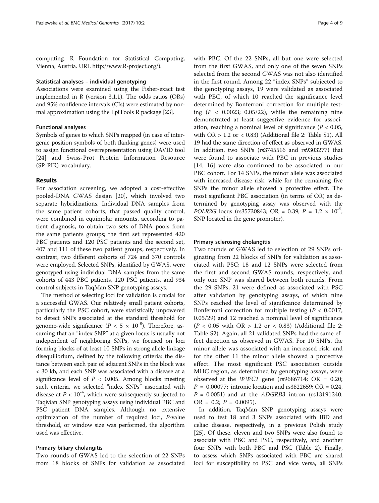computing. R Foundation for Statistical Computing, Vienna, Austria. URL [http://www.R-project.org/\)](http://www.r-project.org/).

#### Statistical analyses – individual genotyping

Associations were examined using the Fisher-exact test implemented in R (version 3.1.1). The odds ratios (ORs) and 95% confidence intervals (CIs) were estimated by normal approximation using the EpiTools R package [\[23\]](#page-8-0).

# Functional analyses

Symbols of genes to which SNPs mapped (in case of intergenic position symbols of both flanking genes) were used to assign functional overrepresentation using DAVID tool [[24\]](#page-8-0) and Swiss-Prot Protein Information Resource (SP-PIR) vocabulary.

# Results

For association screening, we adopted a cost-effective pooled-DNA GWAS design [[20\]](#page-8-0), which involved two separate hybridizations. Individual DNA samples from the same patient cohorts, that passed quality control, were combined in equimolar amounts, according to patient diagnosis, to obtain two sets of DNA pools from the same patients groups; the first set represented 420 PBC patients and 120 PSC patients and the second set, 407 and 111 of these two patient groups, respectively. In contrast, two different cohorts of 724 and 370 controls were employed. Selected SNPs, identified by GWAS, were genotyped using individual DNA samples from the same cohorts of 443 PBC patients, 120 PSC patients, and 934 control subjects in TaqMan SNP genotyping assays.

The method of selecting loci for validation is crucial for a successful GWAS. Our relatively small patient cohorts, particularly the PSC cohort, were statistically unpowered to detect SNPs associated at the standard threshold for genome-wide significance ( $P < 5 \times 10^{-8}$ ). Therefore, assuming that an "index SNP" at a given locus is usually not independent of neighboring SNPs, we focused on loci forming blocks of at least 10 SNPs in strong allele linkage disequilibrium, defined by the following criteria: the distance between each pair of adjacent SNPs in the block was < 30 kb, and each SNP was associated with a disease at a significance level of  $P < 0.005$ . Among blocks meeting such criteria, we selected "index SNPs" associated with disease at  $P < 10^{-4}$ , which were subsequently subjected to TaqMan SNP genotyping assays using individual PBC and PSC patient DNA samples. Although no extensive optimization of the number of required loci, P-value threshold, or window size was performed, the algorithm used was effective.

# Primary biliary cholangitis

Two rounds of GWAS led to the selection of 22 SNPs from 18 blocks of SNPs for validation as associated with PBC. Of the 22 SNPs, all but one were selected from the first GWAS, and only one of the seven SNPs selected from the second GWAS was not also identified in the first round. Among 22 "index SNPs" subjected to the genotyping assays, 19 were validated as associated with PBC, of which 10 reached the significance level determined by Bonferroni correction for multiple testing  $(P < 0.0023; 0.05/22)$ , while the remaining nine demonstrated at least suggestive evidence for association, reaching a nominal level of significance ( $P < 0.05$ , with  $OR > 1.2$  or  $< 0.83$ ) (Additional file [2](#page-7-0): Table S1). All 19 had the same direction of effect as observed in GWAS. In addition, two SNPs (rs3745516 and rs9303277) that were found to associate with PBC in previous studies [[14, 16](#page-8-0)] were also confirmed to be associated in our PBC cohort. For 14 SNPs, the minor allele was associated with increased disease risk, while for the remaining five SNPs the minor allele showed a protective effect. The most significant PBC association (in terms of OR) as determined by genotyping assay was observed with the *POLR2G* locus (rs35730843; OR = 0.39;  $P = 1.2 \times 10^{-5}$ ; SNP located in the gene promoter).

# Primary sclerosing cholangitis

Two rounds of GWAS led to selection of 29 SNPs originating from 22 blocks of SNPs for validation as associated with PSC; 18 and 12 SNPs were selected from the first and second GWAS rounds, respectively, and only one SNP was shared between both rounds. From the 29 SNPs, 21 were defined as associated with PSC after validation by genotyping assays, of which nine SNPs reached the level of significance determined by Bonferroni correction for multiple testing ( $P < 0.0017$ ; 0.05/29) and 12 reached a nominal level of significance  $(P < 0.05$  with OR > 1.2 or < 0.83) (Additional file [2](#page-7-0): Table S2). Again, all 21 validated SNPs had the same effect direction as observed in GWAS. For 10 SNPs, the minor allele was associated with an increased risk, and for the other 11 the minor allele showed a protective effect. The most significant PSC association outside MHC region, as determined by genotyping assays, were observed at the *WWC1* gene (rs9686714; OR = 0.20;  $P = 0.00077$ ; intronic location and rs3822659; OR = 0.24,  $P = 0.0051$ ) and at the ADGRB3 intron (rs13191240; OR = 0.2;  $P = 0.0095$ ).

In addition, TaqMan SNP genotyping assays were used to test 18 and 3 SNPs associated with IBD and celiac disease, respectively, in a previous Polish study [[25](#page-8-0)]. Of these, eleven and two SNPs were also found to associate with PBC and PSC, respectively, and another four SNPs with both PBC and PSC (Table [2\)](#page-4-0). Finally, to assess which SNPs associated with PBC are shared loci for susceptibility to PSC and vice versa, all SNPs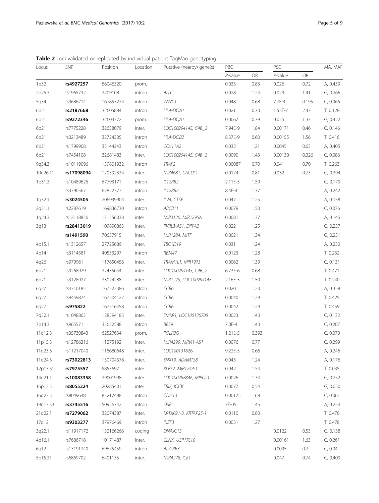<span id="page-4-0"></span>Table 2 Loci validated or replicated by individual patient TaqMan genotyping

| <b>SNP</b><br>Locus |            | Position  | Location | Putative (nearby) gene(s) | PBC        |       |            | PSC   |          |
|---------------------|------------|-----------|----------|---------------------------|------------|-------|------------|-------|----------|
|                     |            |           |          |                           | $P$ -value | OR    | $P$ -value | OR    |          |
| 1p32                | rs4927257  | 56046320  | prom.    |                           | 0.033      | 0.83  | 0.026      | 0.72  | A, 0.439 |
| 2p25.3              | rs1965732  | 3709108   | intron   | ALLC                      | 0.028      | 1.24  | 0.029      | 1.41  | G, 0.266 |
| 5q34                | rs9686714  | 167853274 | intron   | WWC1                      | 0.048      | 0.68  | 7.7E-4     | 0.195 | C, 0.066 |
| 6p21                | rs2187668  | 32605884  | intron   | HLA-DQA1                  | 0.021      | 0.73  | 1.53E-7    | 2.47  | T, 0.128 |
| 6p21                | rs9272346  | 32604372  | prom.    | HLA-DQA1                  | 0.0067     | 0.79  | 0.025      | 1.37  | G, 0.422 |
| 6p21                | rs7775228  | 32658079  | inter.   | LOC100294145, C4B_2       | 7.94E-9    | 1.84  | 0.00171    | 0.46  | C, 0.146 |
| 6p21                | rs3213489  | 32724305  | intron   | HLA-DQB2                  | 8.37E-9    | 0.60  | 0.00155    | 1.56  | T, 0.416 |
| 6p21                | rs1799908  | 33144243  | intron   | COL11A2                   | 0.032      | 1.21  | 0.0045     | 0.63  | A, 0.405 |
| 6p21                | rs7454108  | 32681483  | inter.   | LOC100294145, C4B_2       | 0.0090     | 1.43  | 0.00130    | 0.326 | C, 0.086 |
| 9q34.3              | rs10119096 | 139801932 | intron   | TRAF2                     | 0.00087    | 0.70  | 0.041      | 0.70  | T, 0.263 |
| 10q26.11            | rs17098094 | 120592334 | inter.   | MIR4681, CACUL1           | 0.0174     | 0.81  | 0.032      | 0.73  | G, 0.394 |
| 1p31.3              | rs10489626 | 67793171  | intron   | IL12RB2                   | 2.11E-5    | 1.59  |            |       | G, 0.179 |
|                     | rs3790567  | 67822377  | intron   | IL12RB2                   | 8.4E-4     | 1.37  |            |       | A, 0.242 |
| 1q32.1              | rs3024505  | 206939904 | inter.   | IL24, CTSE                | 0.047      | 1.25  |            |       | A, 0.158 |
| 2q31.1              | rs2287619  | 169836730 | intron   | ABCB11                    | 0.0079     | 1.50  |            |       | C, 0.076 |
| 1q24.3              | rs12118836 | 171256038 | inter.   | MIR3120, MIR1295A         | 0.0081     | 1.37  |            |       | A, 0.145 |
| 3q13                | rs28413019 | 109890863 | inter.   | PVRL3-AS1, DPPA2          | 0.022      | 1.25  |            |       | G, 0.237 |
|                     | rs1491590  | 70657915  | inter.   | MIR1284, MITF             | 0.0021     | 1.34  |            |       | G, 0.251 |
| 4p15.1              | rs13126571 | 27725689  | inter.   | TBC1D19                   | 0.031      | 1.24  |            |       | A, 0.230 |
| 4p14                | rs3114381  | 40533297  | intron   | RBM47                     | 0.0123     | 1.28  |            |       | T, 0.232 |
| 4q26                | rs979961   | 117850456 | inter.   | TRAM1L1, MIR1973          | 0.0062     | 1.39  |            |       | C, 0.131 |
| 6p21                | rs9268979  | 32435044  | inter.   | LOC100294145, C4B_2       | 6.73E-6    | 0.68  |            |       | T, 0.471 |
| 6p21                | rs3128927  | 33074288  | inter.   | MIR1275, LOC100294145     | 2.16E-5    | 1.50  |            |       | T, 0.240 |
| 6q27                | rs4710185  | 167522386 | intron   | CCR6                      | 0.020      | 1.23  |            |       | A, 0.358 |
| 6q27                | rs9459874  | 167504127 | intron   | CCR6                      | 0.0040     | 1.29  |            |       | T, 0.425 |
| 6q27                | rs975822   | 167516458 | intron   | CCR6                      | 0.0042     | 1.29  |            |       | T, 0.459 |
| 7q32.1              | rs10488631 | 128594183 | inter.   | SMKR1, LOC100130705       | 0.0023     | 1.43  |            |       | C, 0.132 |
| 7p14.3              | rs965571   | 33622588  | intron   | BBS9                      | 7.0E-4     | 1.43  |            |       | C, 0.207 |
| 11q12.3             | rs35730843 | 62527634  | prom.    | POLR2G                    | 1.21E-5    | 0.393 |            |       | C, 0.070 |
| 11p15.3             | rs12786216 | 11275192  | inter.   | MIR4299, MRVI1-AS1        | 0.0076     | 0.77  |            |       | C, 0.299 |
| 11q23.3             | rs11217040 | 118680648 | inter.   | LOC100131626              | 9.22E-5    | 0.66  |            |       | A, 0.246 |
| 11q24.3             | rs73022813 | 130704378 | inter.   | SNX19, ADAMTS8            | 0.043      | 1.24  |            |       | A, 0.176 |
| 12p13.31            | rs7975557  | 9853697   | inter.   | KLRF2, MIR1244-1          | 0.042      | 1.54  |            |       | T, 0.035 |
| 14q21.1             | rs10083358 | 39001998  | inter.   | LOC100288846, MIPOL1      | 0.0026     | 1.34  |            |       | G, 0.252 |
| 16p12.3             | rs8055224  | 20285401  | inter.   | ERI2, IQCK                | 0.0077     | 0.54  |            |       | G, 0.050 |
| 16q23.3             | rs8049648  | 83217488  | intron   | CDH13                     | 0.00175    | 1.68  |            |       | C, 0.061 |
| 19q13.33            | rs3745516  | 50926742  | intron   | SPIB                      | 7E-05      | 1.45  |            |       | A, 0.254 |
| 21q22.11            | rs7279062  | 32074387  | inter.   | KRTAP21-3, KRTAP25-1      | 0.0110     | 0.80  |            |       | T, 0.476 |
| 17q12               | rs9303277  | 37976469  | intron   | IKZF3                     | 0.0051     | 1.27  |            |       | T, 0.478 |
| 3q22.1              | rs11917172 | 132166266 | coding   | DNAJC13                   |            |       | 0.0122     | 0.53  | G, 0.138 |
| 4p16.1              | rs7686718  | 10171487  | inter.   | CLNK, USP17L10            |            |       | 0.00161    | 1.63  | C, 0.261 |
| 6q12                | rs13191240 | 69675459  | intron   | ADGRB3                    |            |       | 0.0095     | 0.2   | C, 0.04  |
| 5p15.31             | rs6869702  | 6401135   | inter.   | MIR4278, ICE1             |            |       | 0.047      | 0.74  | G, 0.409 |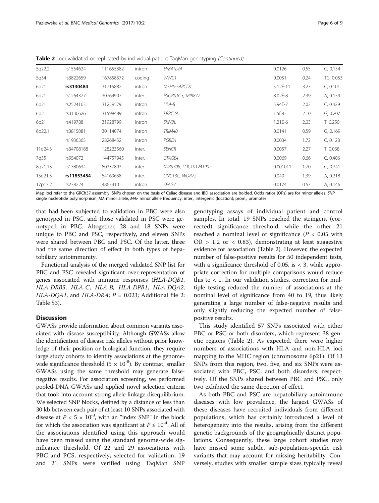|         |            | $\cdots$  |        | 1.100                 | .<br>$\sim$ $\sim$ $\sim$ |      |           |
|---------|------------|-----------|--------|-----------------------|---------------------------|------|-----------|
| 17p13.2 | rs238224   | 4863410   | intron | SPAG7                 | 0.0174                    | 0.57 | A, 0.146  |
| 15q21.3 | rs11853454 | 54169638  | inter. | UNC13C, WDR72         | 0.040                     | 1.39 | A, 0.218  |
| 8q21.13 | rs1380634  | 80237893  | inter. | MIR5708, LOC101241902 | 0.001011                  | 1.70 | G, 0.241  |
| 7q35    | rs954072   | 144757945 | inter. | CTAGE4                | 0.0069                    | 0.66 | C, 0.406  |
| 11q24.3 | rs34708188 | 128223560 | inter. | <b>SENCR</b>          | 0.0057                    | 2.27 | T, 0.038  |
|         | rs1936365  | 28268452  | intron | PGBD1                 | 0.0034                    | 1.72 | C, 0.128  |
| 6p22.1  | rs3815081  | 30114074  | intron | TRIM40                | 0.0141                    | 0.59 | G, 0.169  |
| 6p21    | rs419788   | 31928799  | intron | SKIV2L                | 1.21E-6                   | 2.03 | T, 0.250  |
| 6p21    | rs3130626  | 31598489  | intron | PRRC <sub>2</sub> A   | $1.5E-6$                  | 2.10 | G, 0.207  |
| 6p21    | rs2524163  | 31259579  | intron | HLA-B                 | 5.94E-7                   | 2.02 | C, 0.429  |
| 6p21    | rs1264377  | 30764907  | inter. | PSORS1C3, MIR877      | 8.02E-8                   | 2.39 | A, 0.159  |
| 6p21    | rs3130484  | 31715882  | intron | MSH5-SAPCD1           | 5.12E-11                  | 3.23 | C, 0.101  |
| 5q34    | rs3822659  | 167858372 | coding | WWC1                  | 0.0051                    | 0.24 | TG, 0.053 |
| 5q22.2  | rs1554624  | 111655382 | intron | EPB41L4A              | 0.0126                    | 0.55 | G, 0.154  |

Table 2 Loci validated or replicated by individual patient TaqMan genotyping (Continued)

Map loci refer to the GRCh37 assembly. SNPs chosen on the basis of Celiac disease and IBD association are bolded. Odds ratios (ORs) are for minor alleles. SNP single nucleotide polymorphism, MA minor allele, MAF minor allele frequency; inter., intergenic (location); prom., promoter

that had been subjected to validation in PBC were also genotyped in PSC, and those validated in PSC were genotyped in PBC. Altogether, 28 and 18 SNPs were unique to PBC and PSC, respectively, and eleven SNPs were shared between PBC and PSC. Of the latter, three had the same direction of effect in both types of hepatobiliary autoimmunity.

Functional analysis of the merged validated SNP list for PBC and PSC revealed significant over-representation of genes associated with immune responses (HLA-DQB1, HLA-DRB5, HLA-C, HLA-B, HLA-DPB1, HLA-DQA2, HLA-DQA1, and HLA-DRA;  $P = 0.023$ ; Additional file [2](#page-7-0): Table S3).

# **Discussion**

GWASs provide information about common variants associated with disease susceptibility. Although GWASs allow the identification of disease risk alleles without prior knowledge of their position or biological function, they require large study cohorts to identify associations at the genomewide significance threshold  $(5 \times 10^{-8})$ . By contrast, smaller GWASs using the same threshold may generate falsenegative results. For association screening, we performed pooled-DNA GWASs and applied novel selection criteria that took into account strong allele linkage disequilibrium. We selected SNP blocks, defined by a distance of less than 30 kb between each pair of at least 10 SNPs associated with disease at  $P < 5 \times 10^{-3}$ , with an "index SNP" in the block for which the association was significant at  $P \le 10^{-4}$ . All of the associations identified using this approach would have been missed using the standard genome-wide significance threshold. Of 22 and 29 associations with PBC and PCS, respectively, selected for validation, 19 and 21 SNPs were verified using TaqMan SNP genotyping assays of individual patient and control samples. In total, 19 SNPs reached the stringent (corrected) significance threshold, while the other 21 reached a nominal level of significance ( $P < 0.05$  with  $OR > 1.2$  or < 0.83), demonstrating at least suggestive evidence for association (Table [2\)](#page-4-0). However, the expected number of false-positive results for 50 independent tests, with a significance threshold of 0.05, is  $<$  3, while appropriate correction for multiple comparisons would reduce this to  $<$  1. In our validation studies, correction for multiple testing reduced the number of associations at the nominal level of significance from 40 to 19, thus likely generating a large number of false-negative results and only slightly reducing the expected number of falsepositive results.

This study identified 57 SNPs associated with either PBC or PSC or both disorders, which represent 38 genetic regions (Table [2\)](#page-4-0). As expected, there were higher numbers of associations with HLA and non-HLA loci mapping to the MHC region (chromosome 6p21). Of 13 SNPs from this region, two, five, and six SNPs were associated with PBC, PSC, and both disorders, respectively. Of the SNPs shared between PBC and PSC, only two exhibited the same direction of effect.

As both PBC and PSC are hepatobiliary autoimmune diseases with low prevalence, the largest GWASs of these diseases have recruited individuals from different populations, which has certainly introduced a level of heterogeneity into the results, arising from the different genetic backgrounds of the geographically distinct populations. Consequently, these large cohort studies may have missed some subtle, sub-population-specific risk variants that may account for missing heritability. Conversely, studies with smaller sample sizes typically reveal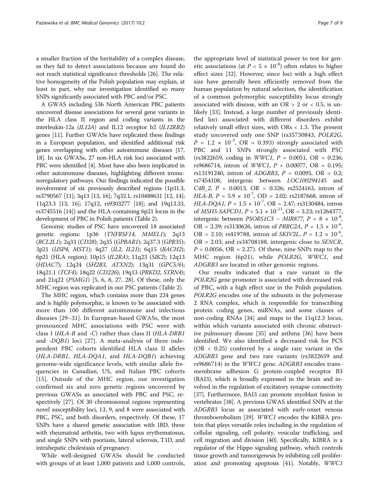a smaller fraction of the heritability of a complex disease, as they fail to detect associations because any found do not reach statistical significance thresholds [\[26](#page-8-0)]. The relative homogeneity of the Polish population may explain, at least in part, why our investigation identified so many SNPs significantly associated with PBC and/or PSC.

A GWAS including 536 North American PBC patients uncovered disease associations for several gene variants in the HLA class II region and coding variants in the interleukin-12a (IL12A) and IL12 receptor b2 (IL12RB2) genes [\[11\]](#page-8-0). Further GWASs have replicated these findings in a European population, and identified additional risk genes overlapping with other autoimmune diseases [[17](#page-8-0), [18](#page-8-0)]. In six GWASs, 27 non-HLA risk loci associated with PBC were identified [[4\]](#page-8-0). Most have also been implicated in other autoimmune diseases, highlighting different immunoregulatory pathways. Our findings indicated the possible involvement of six previously described regions (1p31.3, rs3790567 [\[11\]](#page-8-0); 3q13 [\[13, 16\]](#page-8-0); 7q32.1, rs10488631 [\[12, 14](#page-8-0)]; 11q23.3 [\[13](#page-8-0), [16](#page-8-0)]; 17q12, rs9303277 [\[18](#page-8-0)]; and 19q13.33, rs3745516 [\[14\]](#page-8-0)) and the HLA-containing 6p21 locus in the development of PBC in Polish patients (Table [2](#page-4-0)).

Genomic studies of PSC have uncovered 18 associated genetic regions: 1p36 (TNFRSF14, MMEL1); 2q13 (BCL2L1); 2q33 (CD28); 2q35 (GPBAR1); 2q37.3 (GPR35); 3p21 (USP4, MST1); 4q27 (IL2, IL21); 6q15 (BACH2); 6p21 (HLA region); 10p15 (IL2RA); 11q23 (SIK2); 12q13 (HDAC7); 12q24 (SH2B3, ATXN2); 13q31 (GPC5/6); 18q21.1 (TCF4); 18q22 (CD226); 19q13 (PRKD2, STRN4); and 21q22 (PSMG1) [\[5](#page-8-0), [6](#page-8-0), [8, 27, 28](#page-8-0)]. Of these, only the MHC region was replicated in our PSC patients (Table [2\)](#page-4-0).

The MHC region, which contains more than 224 genes and is highly polymorphic, is known to be associated with more than 100 different autoimmune and infectious diseases [\[29](#page-8-0)–[31\]](#page-8-0). In European-based GWASs, the most pronounced MHC associations with PSC were with class I (HLA-B and -C) rather than class II (HLA-DRB1 and -DQB1) loci [[27\]](#page-8-0). A meta-analysis of three independent PBC cohorts identified HLA class II alleles (HLA-DRB1, HLA-DQA1, and HLA-DQB1) achieving genome-wide significance levels, with similar allele frequencies in Canadian, US, and Italian PBC cohorts [[15\]](#page-8-0). Outside of the MHC region, our investigation confirmed six and zero genetic regions uncovered by previous GWASs as associated with PBC and PSC, respectively [\[27\]](#page-8-0). Of 30 chromosomal regions representing novel susceptibility loci, 13, 9, and 8 were associated with PBC, PSC, and both disorders, respectively. Of these, 17 SNPs have a shared genetic association with IBD, three with rheumatoid arthritis, two with lupus erythematosus, and single SNPs with psoriasis, lateral sclerosis, T1D, and intrahepatic cholestasis of pregnancy.

While well-designed GWASs should be conducted with groups of at least 1,000 patients and 1,000 controls,

the appropriate level of statistical power to test for genetic associations (at  $P < 5 \times 10^{-8}$ ) often relates to higher effect sizes [[32](#page-8-0)]. However, since loci with a high effect size have generally been efficiently removed from the human population by natural selection, the identification of a common polymorphic susceptibility locus strongly associated with disease, with an OR > 2 or < 0.5, is unlikely [[33\]](#page-8-0). Instead, a large number of previously identified loci associated with different disorders exhibit relatively small effect sizes, with ORs < 1.3. The present study uncovered only one SNP (rs35730843, POLR2G,  $P = 1.2 \times 10^{-5}$ , OR = 0.393) strongly associated with PBC and 11 SNPs strongly associated with PSC  $(rs3822659, coding in WWC1, P = 0.0051, OR = 0.236;$ rs9686714, intron of *WWC1*,  $P = 0.00077$ , OR = 0.195; rs13191240, intron of ADGRB3, P = 0.0095, OR = 0.2; rs7454108, intergenic between LOC100294145 and  $C4B_2$ ,  $P = 0.0013$ ,  $OR = 0.326$ ; rs2524163, intron of HLA-B,  $P = 5.9 \times 10^{-7}$ , OD = 2.02; rs2187668, intron of HLA-DQA1,  $P = 1.5 \times 10^{-7}$ , OR = 2.47; rs3130484, intron of *MSH5-SAPCD1*,  $P = 5.1 \times 10^{-11}$ , OR = 3.23; rs1264377, intergenic between *PSORS1C3* – *MIR877*,  $P = 8 \times 10^{-8}$ OR = 2.39; rs3130626, intron of *PRRC2A*,  $P = 1.5 \times 10^{-6}$ , OR = 2.10; rs419788, intron of *SKIV2L*,  $P = 1.2 \times 10^{-6}$ , OR = 2.03; and rs34708188, intergenic close to SENCR,  $P = 0.0056$ , OR = 2.27). Of these, nine SNPs map to the

Our results indicated that a rare variant in the POLR2G gene promoter is associated with decreased risk of PBC, with a high effect size in the Polish population. POLR2G encodes one of the subunits in the polymerase 2 RNA complex, which is responsible for transcribing protein coding genes, miRNAs, and some classes of non-coding RNAs [\[34](#page-8-0)] and maps to the 11q12.3 locus, within which variants associated with chronic obstructive pulmonary disease [\[35](#page-8-0)] and asthma [[36\]](#page-8-0) have been identified. We also identified a decreased risk for PCS  $(OR < 0.25)$  conferred by a single rare variant in the ADGRB3 gene and two rare variants (rs3822659 and rs9686714) in the WWC1 gene. ADGRB3 encodes transmembrane adhesion G protein-coupled receptor B3 (BAI3), which is broadly expressed in the brain and involved in the regulation of excitatory synapse connectivity [[37](#page-8-0)]. Furthermore, BAI3 can promote myoblast fusion in vertebrates [\[38](#page-8-0)]. A previous GWAS identified SNPs at the ADGRB3 locus as associated with early-onset venous thromboembolism [[39](#page-8-0)]. WWC1 encodes the KIBRA protein that plays versatile roles including in the regulation of cellular signaling, cell polarity, vesicular trafficking, and cell migration and division [\[40\]](#page-8-0). Specifically, KIBRA is a regulator of the Hippo signaling pathway, which controls tissue growth and tumorigenesis by inhibiting cell proliferation and promoting apoptosis [[41](#page-8-0)]. Notably, WWC1

MHC region (6p21), while POLR2G, WWC1, and

ADGRB3 are located in other genomic regions.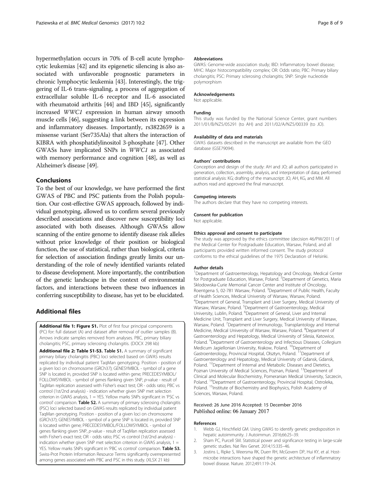<span id="page-7-0"></span>hypermethylation occurs in 70% of B-cell acute lymphocytic leukemias [\[42\]](#page-8-0) and its epigenetic silencing is also associated with unfavorable prognostic parameters in chronic lymphocytic leukemia [\[43](#page-8-0)]. Interestingly, the triggering of IL-6 trans-signaling, a process of aggregation of extracellular soluble IL-6 receptor and IL-6 associated with rheumatoid arthritis [[44](#page-8-0)] and IBD [\[45\]](#page-8-0), significantly increased WWC1 expression in human airway smooth muscle cells [\[46](#page-8-0)], suggesting a link between its expression and inflammatory diseases. Importantly, rs3822659 is a missense variant (Ser735Ala) that alters the interaction of KIBRA with phosphatidylinositol 3-phosphate [[47](#page-8-0)]. Other GWASs have implicated SNPs in WWC1 as associated with memory performance and cognition [\[48](#page-8-0)], as well as Alzheimer's disease [[49](#page-8-0)].

# Conclusions

To the best of our knowledge, we have performed the first GWAS of PBC and PSC patients from the Polish population. Our cost-effective GWAS approach, followed by individual genotyping, allowed us to confirm several previously described associations and discover new susceptibility loci associated with both diseases. Although GWASs allow scanning of the entire genome to identify disease risk alleles without prior knowledge of their position or biological function, the use of statistical, rather than biological, criteria for selection of association findings greatly limits our understanding of the role of newly identified variants related to disease development. More importantly, the contribution of the genetic landscape in the context of environmental factors, and interactions between these two influences in conferring susceptibility to disease, has yet to be elucidated.

# Additional files

[Additional file 1: Figure S1.](dx.doi.org/10.1186/s12920-016-0239-9) Plot of first four principal components (PC) for: full dataset (A) and dataset after removal of outlier samples (B). Arrows indicate samples removed from analyses. PBC, primary biliary cholangitis; PSC, primary sclerosing cholangitis. (DOCX 298 kb)

[Additional file 2: Table S1-S3.](dx.doi.org/10.1186/s12920-016-0239-9) Table S1. A summary of significant primary biliary cholangitis (PBC) loci selected based on GWAS results replicated by individual patient TaqMan genotyping. Position - position of a given loci on chromosome (GRCh37); GENESYMBOL - symbol of a gene SNP is located in, provided SNP is located within gene; PRECEDESYMBOL/ FOLLOWSYMBOL - symbol of genes flanking given SNP, p-value - result of TagMan replication assessed with Fisher's exact test; OR - odds ratio; PBC vs control (1st/2nd analysis) - indication whether given SNP met selection criterion in GWAS analysis, 1 = YES. Yellow marks SNPs significant in 'PSC vs control' comparison. Table S2. A summary of primary sclerosing cholangitis (PSC) loci selected based on GWAS results replicated by individual patient TaqMan genotyping. Position - position of a given loci on chromosome (GRCh37); GENESYMBOL - symbol of a gene SNP is located in, provided SNP is located within gene; PRECEDESYMBOL/FOLLOWSYMBOL - symbol of genes flanking given SNP, p-value - result of TaqMan replication assessed with Fisher's exact test; OR - odds ratio; PSC vs control (1st/2nd analysis) indication whether given SNP met selection criterion in GWAS analysis,  $1 =$ YES. Yellow marks SNPs significant in 'PBC vs control' comparison. Table S3. Swiss-Prot Protein Information Resource Terms significantly overrepresented among genes associated with PBC and PSC in this study. (XLSX 21 kb)

### Abbreviations

GWAS: Genome-wide association study; IBD: Inflammatory bowel disease; MHC: Major histocompatibility complex; OR: Odds ratio; PBC: Primary biliary cholangitis; PSC: Primary sclerosing cholangitis; SNP: Single nucleotide polymorphism

#### Acknowledgements

Not applicable.

#### Funding

This study was funded by the National Science Center, grant numbers 2011/01/B/NZ5/05291 (to AH) and 2011/02/A/NZ5/00339 (to JO).

#### Availability of data and materials

GWAS datasets described in the manuscript are available from the GEO database (GSE79094).

#### Authors' contributions

Conception and design of the study: AH and JO; all authors participated in generation, collection, assembly, analysis, and interpretation of data; performed statistical analysis: KG; drafting of the manuscript: JO, AH, KG, and MM. All authors read and approved the final manuscript.

#### Competing interests

The authors declare that they have no competing interests.

#### Consent for publication

Not applicable.

## Ethics approval and consent to participate

The study was approved by the ethics committee (decision 46/PW/2011) of the Medical Center for Postgraduate Education, Warsaw, Poland, and all participants provided written informed consent. The study protocol conforms to the ethical guidelines of the 1975 Declaration of Helsinki.

#### Author details

<sup>1</sup>Department of Gastroenterology, Hepatology and Oncology, Medical Center for Postgraduate Education, Warsaw, Poland. <sup>2</sup> Department of Genetics, Maria Sklodowska-Curie Memorial Cancer Center and Institute of Oncology, Roentgena 5, 02-781 Warsaw, Poland. <sup>3</sup>Department of Public Health, Faculty of Health Sciences, Medical University of Warsaw, Warsaw, Poland. 4 Department of General, Transplant and Liver Surgery, Medical University of Warsaw, Warsaw, Poland. <sup>5</sup>Department of Gastroenterology, Medical University, Lublin, Poland. <sup>6</sup>Department of General, Liver and Internal Medicine Unit, Transplant and Liver Surgery, Medical University of Warsaw, Warsaw, Poland. <sup>7</sup>Department of Immunology, Transplantology and Internal Medicine, Medical University of Warsaw, Warsaw, Poland. <sup>8</sup>Department of Gastroenterology and Hepatology, Medical University of Silesia, Katowice, Poland. <sup>9</sup>Department of Gastroenterology and Infectious Diseases, Collegium Medicum Jagiellonian University, Krakow, Poland. <sup>10</sup>Department of Gastroenterology, Provincial Hospital, Olsztyn, Poland. <sup>11</sup>Department of Gastroenterology and Hepatology, Medical University of Gdansk, Gdansk, Poland. <sup>12</sup>Department of Internal and Metabolic Diseases and Dietetics, Poznan University of Medical Sciences, Poznan, Poland. <sup>13</sup>Department of Clinical and Molecular Biochemistry, Pomeranian Medical University, Szczecin, Poland. <sup>14</sup>Department of Gastroenterology, Provincial Hospital, Ostroleka, Poland. <sup>15</sup>Institute of Biochemistry and Biophysics, Polish Academy of Sciences, Warsaw, Poland.

## Received: 26 June 2016 Accepted: 15 December 2016 Published online: 06 January 2017

#### References

- 1. Webb GJ, Hirschfield GM. Using GWAS to identify genetic predisposition in hepatic autoimmunity. J Autoimmun. 2016;66:25–39.
- 2. Sham PC, Purcell SM. Statistical power and significance testing in large-scale genetic studies. Nat Rev Genet. 2014;15:335–46.
- 3. Jostins L, Ripke S, Weersma RK, Duerr RH, McGovern DP, Hui KY, et al. Hostmicrobe interactions have shaped the genetic architecture of inflammatory bowel disease. Nature. 2012;491:119–24.